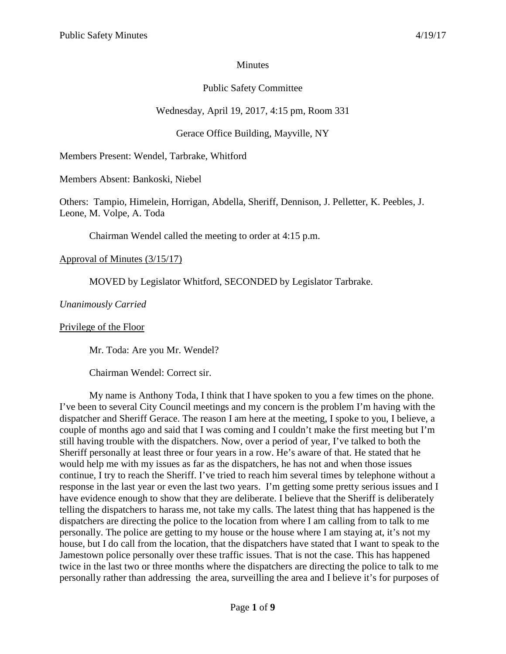## **Minutes**

# Public Safety Committee

# Wednesday, April 19, 2017, 4:15 pm, Room 331

# Gerace Office Building, Mayville, NY

Members Present: Wendel, Tarbrake, Whitford

Members Absent: Bankoski, Niebel

Others: Tampio, Himelein, Horrigan, Abdella, Sheriff, Dennison, J. Pelletter, K. Peebles, J. Leone, M. Volpe, A. Toda

Chairman Wendel called the meeting to order at 4:15 p.m.

## Approval of Minutes (3/15/17)

MOVED by Legislator Whitford, SECONDED by Legislator Tarbrake.

*Unanimously Carried*

#### Privilege of the Floor

Mr. Toda: Are you Mr. Wendel?

Chairman Wendel: Correct sir.

My name is Anthony Toda, I think that I have spoken to you a few times on the phone. I've been to several City Council meetings and my concern is the problem I'm having with the dispatcher and Sheriff Gerace. The reason I am here at the meeting, I spoke to you, I believe, a couple of months ago and said that I was coming and I couldn't make the first meeting but I'm still having trouble with the dispatchers. Now, over a period of year, I've talked to both the Sheriff personally at least three or four years in a row. He's aware of that. He stated that he would help me with my issues as far as the dispatchers, he has not and when those issues continue, I try to reach the Sheriff. I've tried to reach him several times by telephone without a response in the last year or even the last two years. I'm getting some pretty serious issues and I have evidence enough to show that they are deliberate. I believe that the Sheriff is deliberately telling the dispatchers to harass me, not take my calls. The latest thing that has happened is the dispatchers are directing the police to the location from where I am calling from to talk to me personally. The police are getting to my house or the house where I am staying at, it's not my house, but I do call from the location, that the dispatchers have stated that I want to speak to the Jamestown police personally over these traffic issues. That is not the case. This has happened twice in the last two or three months where the dispatchers are directing the police to talk to me personally rather than addressing the area, surveilling the area and I believe it's for purposes of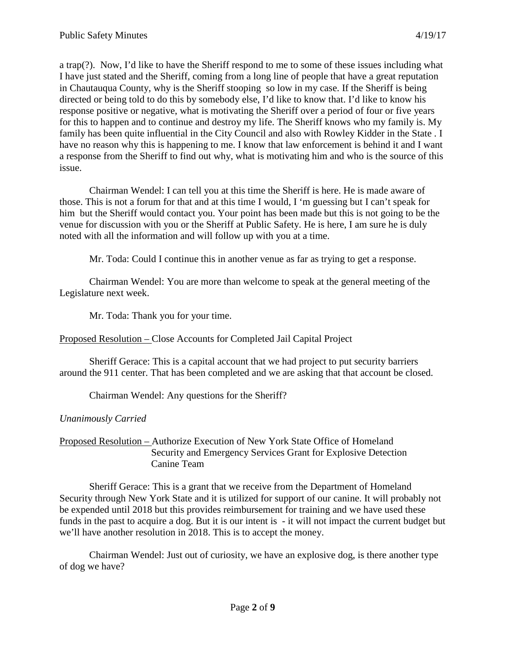a trap(?). Now, I'd like to have the Sheriff respond to me to some of these issues including what I have just stated and the Sheriff, coming from a long line of people that have a great reputation in Chautauqua County, why is the Sheriff stooping so low in my case. If the Sheriff is being directed or being told to do this by somebody else, I'd like to know that. I'd like to know his response positive or negative, what is motivating the Sheriff over a period of four or five years for this to happen and to continue and destroy my life. The Sheriff knows who my family is. My family has been quite influential in the City Council and also with Rowley Kidder in the State . I have no reason why this is happening to me. I know that law enforcement is behind it and I want a response from the Sheriff to find out why, what is motivating him and who is the source of this issue.

Chairman Wendel: I can tell you at this time the Sheriff is here. He is made aware of those. This is not a forum for that and at this time I would, I 'm guessing but I can't speak for him but the Sheriff would contact you. Your point has been made but this is not going to be the venue for discussion with you or the Sheriff at Public Safety. He is here, I am sure he is duly noted with all the information and will follow up with you at a time.

Mr. Toda: Could I continue this in another venue as far as trying to get a response.

Chairman Wendel: You are more than welcome to speak at the general meeting of the Legislature next week.

Mr. Toda: Thank you for your time.

Proposed Resolution – Close Accounts for Completed Jail Capital Project

Sheriff Gerace: This is a capital account that we had project to put security barriers around the 911 center. That has been completed and we are asking that that account be closed.

Chairman Wendel: Any questions for the Sheriff?

*Unanimously Carried*

Proposed Resolution – Authorize Execution of New York State Office of Homeland Security and Emergency Services Grant for Explosive Detection Canine Team

Sheriff Gerace: This is a grant that we receive from the Department of Homeland Security through New York State and it is utilized for support of our canine. It will probably not be expended until 2018 but this provides reimbursement for training and we have used these funds in the past to acquire a dog. But it is our intent is - it will not impact the current budget but we'll have another resolution in 2018. This is to accept the money.

Chairman Wendel: Just out of curiosity, we have an explosive dog, is there another type of dog we have?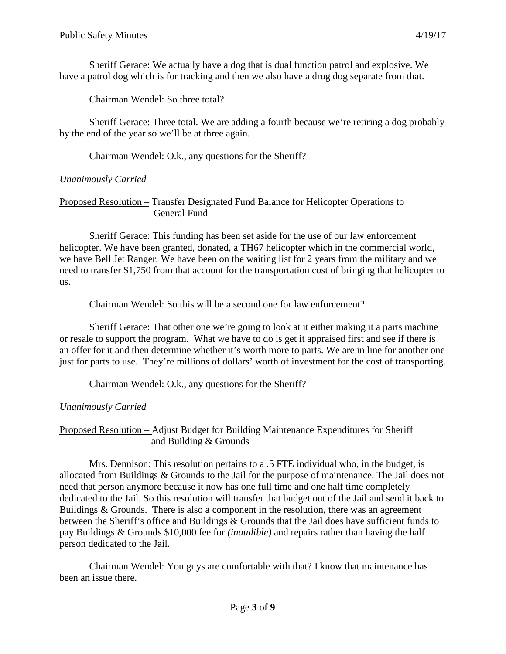Sheriff Gerace: We actually have a dog that is dual function patrol and explosive. We have a patrol dog which is for tracking and then we also have a drug dog separate from that.

Chairman Wendel: So three total?

Sheriff Gerace: Three total. We are adding a fourth because we're retiring a dog probably by the end of the year so we'll be at three again.

Chairman Wendel: O.k., any questions for the Sheriff?

## *Unanimously Carried*

### Proposed Resolution – Transfer Designated Fund Balance for Helicopter Operations to General Fund

Sheriff Gerace: This funding has been set aside for the use of our law enforcement helicopter. We have been granted, donated, a TH67 helicopter which in the commercial world, we have Bell Jet Ranger. We have been on the waiting list for 2 years from the military and we need to transfer \$1,750 from that account for the transportation cost of bringing that helicopter to us.

Chairman Wendel: So this will be a second one for law enforcement?

Sheriff Gerace: That other one we're going to look at it either making it a parts machine or resale to support the program. What we have to do is get it appraised first and see if there is an offer for it and then determine whether it's worth more to parts. We are in line for another one just for parts to use. They're millions of dollars' worth of investment for the cost of transporting.

Chairman Wendel: O.k., any questions for the Sheriff?

## *Unanimously Carried*

Proposed Resolution – Adjust Budget for Building Maintenance Expenditures for Sheriff and Building & Grounds

Mrs. Dennison: This resolution pertains to a .5 FTE individual who, in the budget, is allocated from Buildings & Grounds to the Jail for the purpose of maintenance. The Jail does not need that person anymore because it now has one full time and one half time completely dedicated to the Jail. So this resolution will transfer that budget out of the Jail and send it back to Buildings & Grounds. There is also a component in the resolution, there was an agreement between the Sheriff's office and Buildings & Grounds that the Jail does have sufficient funds to pay Buildings & Grounds \$10,000 fee for *(inaudible)* and repairs rather than having the half person dedicated to the Jail.

Chairman Wendel: You guys are comfortable with that? I know that maintenance has been an issue there.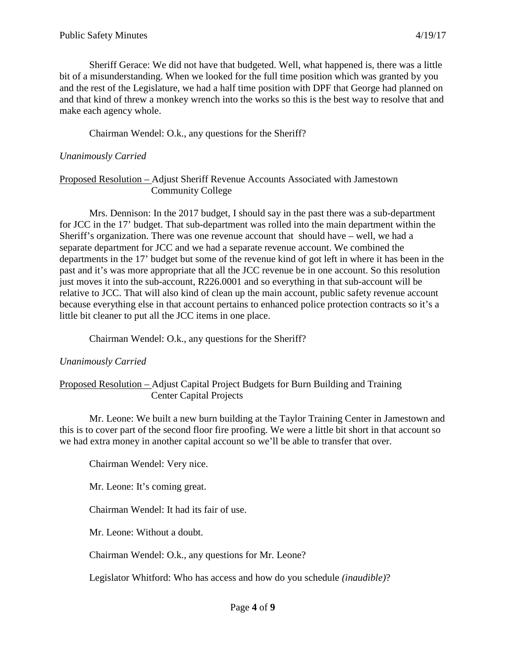Sheriff Gerace: We did not have that budgeted. Well, what happened is, there was a little bit of a misunderstanding. When we looked for the full time position which was granted by you and the rest of the Legislature, we had a half time position with DPF that George had planned on and that kind of threw a monkey wrench into the works so this is the best way to resolve that and make each agency whole.

Chairman Wendel: O.k., any questions for the Sheriff?

#### *Unanimously Carried*

#### Proposed Resolution – Adjust Sheriff Revenue Accounts Associated with Jamestown Community College

Mrs. Dennison: In the 2017 budget, I should say in the past there was a sub-department for JCC in the 17' budget. That sub-department was rolled into the main department within the Sheriff's organization. There was one revenue account that should have – well, we had a separate department for JCC and we had a separate revenue account. We combined the departments in the 17' budget but some of the revenue kind of got left in where it has been in the past and it's was more appropriate that all the JCC revenue be in one account. So this resolution just moves it into the sub-account, R226.0001 and so everything in that sub-account will be relative to JCC. That will also kind of clean up the main account, public safety revenue account because everything else in that account pertains to enhanced police protection contracts so it's a little bit cleaner to put all the JCC items in one place.

Chairman Wendel: O.k., any questions for the Sheriff?

## *Unanimously Carried*

### Proposed Resolution – Adjust Capital Project Budgets for Burn Building and Training Center Capital Projects

Mr. Leone: We built a new burn building at the Taylor Training Center in Jamestown and this is to cover part of the second floor fire proofing. We were a little bit short in that account so we had extra money in another capital account so we'll be able to transfer that over.

Chairman Wendel: Very nice.

Mr. Leone: It's coming great.

Chairman Wendel: It had its fair of use.

Mr. Leone: Without a doubt.

Chairman Wendel: O.k., any questions for Mr. Leone?

Legislator Whitford: Who has access and how do you schedule *(inaudible)*?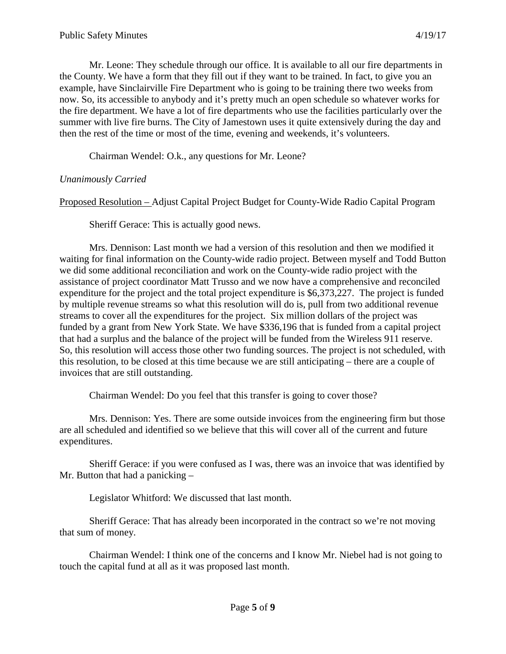Mr. Leone: They schedule through our office. It is available to all our fire departments in the County. We have a form that they fill out if they want to be trained. In fact, to give you an example, have Sinclairville Fire Department who is going to be training there two weeks from now. So, its accessible to anybody and it's pretty much an open schedule so whatever works for the fire department. We have a lot of fire departments who use the facilities particularly over the summer with live fire burns. The City of Jamestown uses it quite extensively during the day and then the rest of the time or most of the time, evening and weekends, it's volunteers.

Chairman Wendel: O.k., any questions for Mr. Leone?

### *Unanimously Carried*

Proposed Resolution – Adjust Capital Project Budget for County-Wide Radio Capital Program

Sheriff Gerace: This is actually good news.

Mrs. Dennison: Last month we had a version of this resolution and then we modified it waiting for final information on the County-wide radio project. Between myself and Todd Button we did some additional reconciliation and work on the County-wide radio project with the assistance of project coordinator Matt Trusso and we now have a comprehensive and reconciled expenditure for the project and the total project expenditure is \$6,373,227. The project is funded by multiple revenue streams so what this resolution will do is, pull from two additional revenue streams to cover all the expenditures for the project. Six million dollars of the project was funded by a grant from New York State. We have \$336,196 that is funded from a capital project that had a surplus and the balance of the project will be funded from the Wireless 911 reserve. So, this resolution will access those other two funding sources. The project is not scheduled, with this resolution, to be closed at this time because we are still anticipating – there are a couple of invoices that are still outstanding.

Chairman Wendel: Do you feel that this transfer is going to cover those?

Mrs. Dennison: Yes. There are some outside invoices from the engineering firm but those are all scheduled and identified so we believe that this will cover all of the current and future expenditures.

Sheriff Gerace: if you were confused as I was, there was an invoice that was identified by Mr. Button that had a panicking –

Legislator Whitford: We discussed that last month.

Sheriff Gerace: That has already been incorporated in the contract so we're not moving that sum of money.

Chairman Wendel: I think one of the concerns and I know Mr. Niebel had is not going to touch the capital fund at all as it was proposed last month.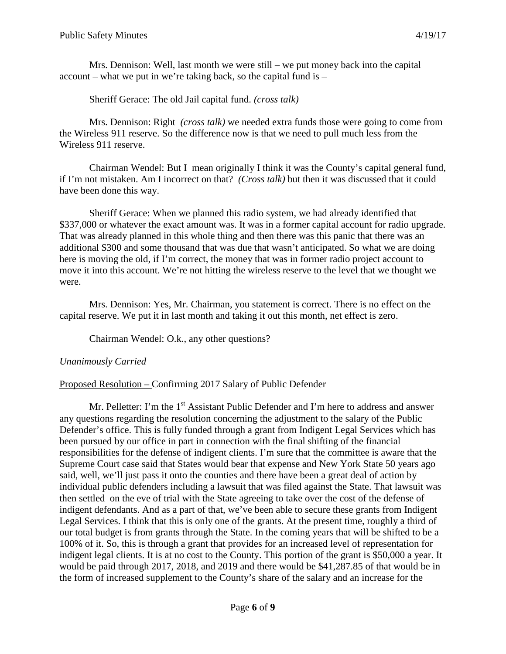Mrs. Dennison: Well, last month we were still – we put money back into the capital account – what we put in we're taking back, so the capital fund is –

Sheriff Gerace: The old Jail capital fund. *(cross talk)*

Mrs. Dennison: Right *(cross talk)* we needed extra funds those were going to come from the Wireless 911 reserve. So the difference now is that we need to pull much less from the Wireless 911 reserve.

Chairman Wendel: But I mean originally I think it was the County's capital general fund, if I'm not mistaken. Am I incorrect on that? *(Cross talk)* but then it was discussed that it could have been done this way.

Sheriff Gerace: When we planned this radio system, we had already identified that \$337,000 or whatever the exact amount was. It was in a former capital account for radio upgrade. That was already planned in this whole thing and then there was this panic that there was an additional \$300 and some thousand that was due that wasn't anticipated. So what we are doing here is moving the old, if I'm correct, the money that was in former radio project account to move it into this account. We're not hitting the wireless reserve to the level that we thought we were.

Mrs. Dennison: Yes, Mr. Chairman, you statement is correct. There is no effect on the capital reserve. We put it in last month and taking it out this month, net effect is zero.

Chairman Wendel: O.k., any other questions?

## *Unanimously Carried*

Proposed Resolution – Confirming 2017 Salary of Public Defender

Mr. Pelletter: I'm the  $1<sup>st</sup>$  Assistant Public Defender and I'm here to address and answer any questions regarding the resolution concerning the adjustment to the salary of the Public Defender's office. This is fully funded through a grant from Indigent Legal Services which has been pursued by our office in part in connection with the final shifting of the financial responsibilities for the defense of indigent clients. I'm sure that the committee is aware that the Supreme Court case said that States would bear that expense and New York State 50 years ago said, well, we'll just pass it onto the counties and there have been a great deal of action by individual public defenders including a lawsuit that was filed against the State. That lawsuit was then settled on the eve of trial with the State agreeing to take over the cost of the defense of indigent defendants. And as a part of that, we've been able to secure these grants from Indigent Legal Services. I think that this is only one of the grants. At the present time, roughly a third of our total budget is from grants through the State. In the coming years that will be shifted to be a 100% of it. So, this is through a grant that provides for an increased level of representation for indigent legal clients. It is at no cost to the County. This portion of the grant is \$50,000 a year. It would be paid through 2017, 2018, and 2019 and there would be \$41,287.85 of that would be in the form of increased supplement to the County's share of the salary and an increase for the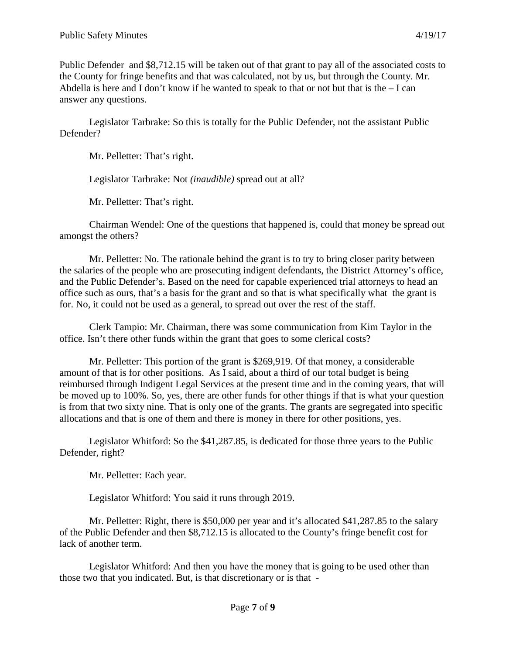Public Defender and \$8,712.15 will be taken out of that grant to pay all of the associated costs to the County for fringe benefits and that was calculated, not by us, but through the County. Mr. Abdella is here and I don't know if he wanted to speak to that or not but that is the  $-$ I can answer any questions.

Legislator Tarbrake: So this is totally for the Public Defender, not the assistant Public Defender?

Mr. Pelletter: That's right.

Legislator Tarbrake: Not *(inaudible)* spread out at all?

Mr. Pelletter: That's right.

Chairman Wendel: One of the questions that happened is, could that money be spread out amongst the others?

Mr. Pelletter: No. The rationale behind the grant is to try to bring closer parity between the salaries of the people who are prosecuting indigent defendants, the District Attorney's office, and the Public Defender's. Based on the need for capable experienced trial attorneys to head an office such as ours, that's a basis for the grant and so that is what specifically what the grant is for. No, it could not be used as a general, to spread out over the rest of the staff.

Clerk Tampio: Mr. Chairman, there was some communication from Kim Taylor in the office. Isn't there other funds within the grant that goes to some clerical costs?

Mr. Pelletter: This portion of the grant is \$269,919. Of that money, a considerable amount of that is for other positions. As I said, about a third of our total budget is being reimbursed through Indigent Legal Services at the present time and in the coming years, that will be moved up to 100%. So, yes, there are other funds for other things if that is what your question is from that two sixty nine. That is only one of the grants. The grants are segregated into specific allocations and that is one of them and there is money in there for other positions, yes.

Legislator Whitford: So the \$41,287.85, is dedicated for those three years to the Public Defender, right?

Mr. Pelletter: Each year.

Legislator Whitford: You said it runs through 2019.

Mr. Pelletter: Right, there is \$50,000 per year and it's allocated \$41,287.85 to the salary of the Public Defender and then \$8,712.15 is allocated to the County's fringe benefit cost for lack of another term.

Legislator Whitford: And then you have the money that is going to be used other than those two that you indicated. But, is that discretionary or is that -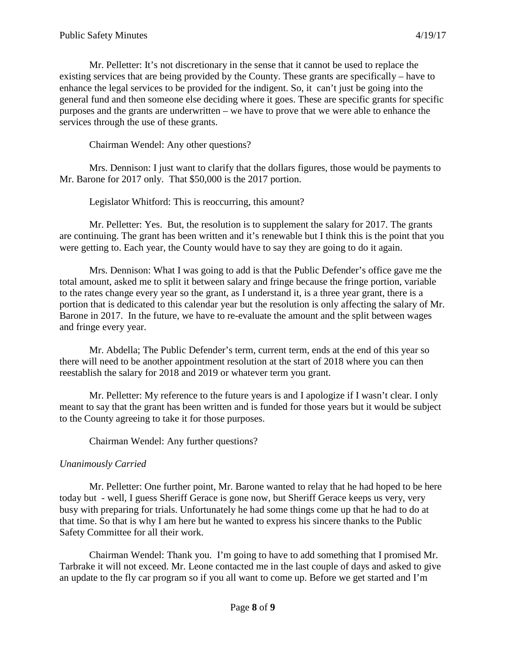Mr. Pelletter: It's not discretionary in the sense that it cannot be used to replace the existing services that are being provided by the County. These grants are specifically – have to enhance the legal services to be provided for the indigent. So, it can't just be going into the general fund and then someone else deciding where it goes. These are specific grants for specific purposes and the grants are underwritten – we have to prove that we were able to enhance the services through the use of these grants.

Chairman Wendel: Any other questions?

Mrs. Dennison: I just want to clarify that the dollars figures, those would be payments to Mr. Barone for 2017 only. That \$50,000 is the 2017 portion.

Legislator Whitford: This is reoccurring, this amount?

Mr. Pelletter: Yes. But, the resolution is to supplement the salary for 2017. The grants are continuing. The grant has been written and it's renewable but I think this is the point that you were getting to. Each year, the County would have to say they are going to do it again.

Mrs. Dennison: What I was going to add is that the Public Defender's office gave me the total amount, asked me to split it between salary and fringe because the fringe portion, variable to the rates change every year so the grant, as I understand it, is a three year grant, there is a portion that is dedicated to this calendar year but the resolution is only affecting the salary of Mr. Barone in 2017. In the future, we have to re-evaluate the amount and the split between wages and fringe every year.

Mr. Abdella; The Public Defender's term, current term, ends at the end of this year so there will need to be another appointment resolution at the start of 2018 where you can then reestablish the salary for 2018 and 2019 or whatever term you grant.

Mr. Pelletter: My reference to the future years is and I apologize if I wasn't clear. I only meant to say that the grant has been written and is funded for those years but it would be subject to the County agreeing to take it for those purposes.

Chairman Wendel: Any further questions?

## *Unanimously Carried*

Mr. Pelletter: One further point, Mr. Barone wanted to relay that he had hoped to be here today but - well, I guess Sheriff Gerace is gone now, but Sheriff Gerace keeps us very, very busy with preparing for trials. Unfortunately he had some things come up that he had to do at that time. So that is why I am here but he wanted to express his sincere thanks to the Public Safety Committee for all their work.

Chairman Wendel: Thank you. I'm going to have to add something that I promised Mr. Tarbrake it will not exceed. Mr. Leone contacted me in the last couple of days and asked to give an update to the fly car program so if you all want to come up. Before we get started and I'm